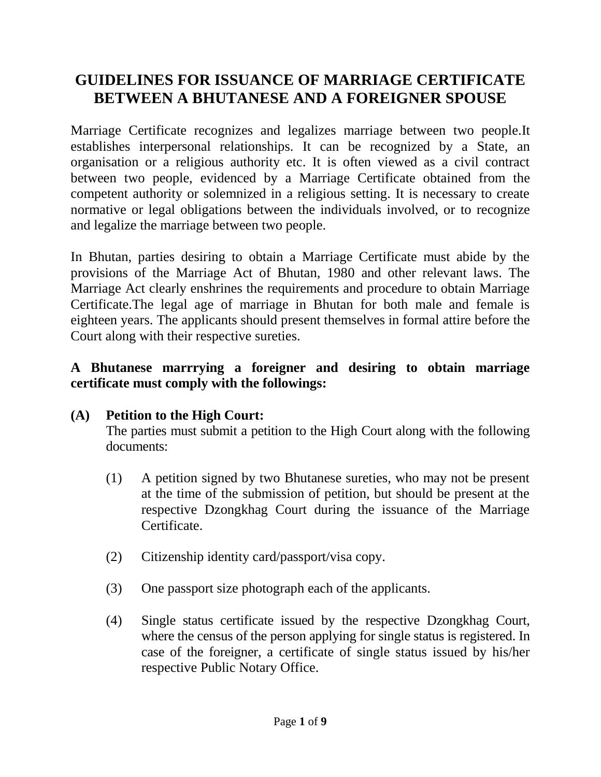# **GUIDELINES FOR ISSUANCE OF MARRIAGE CERTIFICATE BETWEEN A BHUTANESE AND A FOREIGNER SPOUSE**

Marriage Certificate recognizes and legalizes marriage between two people.It establishes interpersonal relationships. It can be recognized by a State, an organisation or a religious authority etc. It is often viewed as a civil contract between two people, evidenced by a Marriage Certificate obtained from the competent authority or solemnized in a religious setting. It is necessary to create normative or legal obligations between the individuals involved, or to recognize and legalize the marriage between two people.

In Bhutan, parties desiring to obtain a Marriage Certificate must abide by the provisions of the Marriage Act of Bhutan, 1980 and other relevant laws. The Marriage Act clearly enshrines the requirements and procedure to obtain Marriage Certificate.The legal age of marriage in Bhutan for both male and female is eighteen years. The applicants should present themselves in formal attire before the Court along with their respective sureties.

### **A Bhutanese marrrying a foreigner and desiring to obtain marriage certificate must comply with the followings:**

## **(A) Petition to the High Court:**

The parties must submit a petition to the High Court along with the following documents:

- (1) A petition signed by two Bhutanese sureties, who may not be present at the time of the submission of petition, but should be present at the respective Dzongkhag Court during the issuance of the Marriage Certificate.
- (2) Citizenship identity card/passport/visa copy.
- (3) One passport size photograph each of the applicants.
- (4) Single status certificate issued by the respective Dzongkhag Court, where the census of the person applying for single status is registered. In case of the foreigner, a certificate of single status issued by his/her respective Public Notary Office.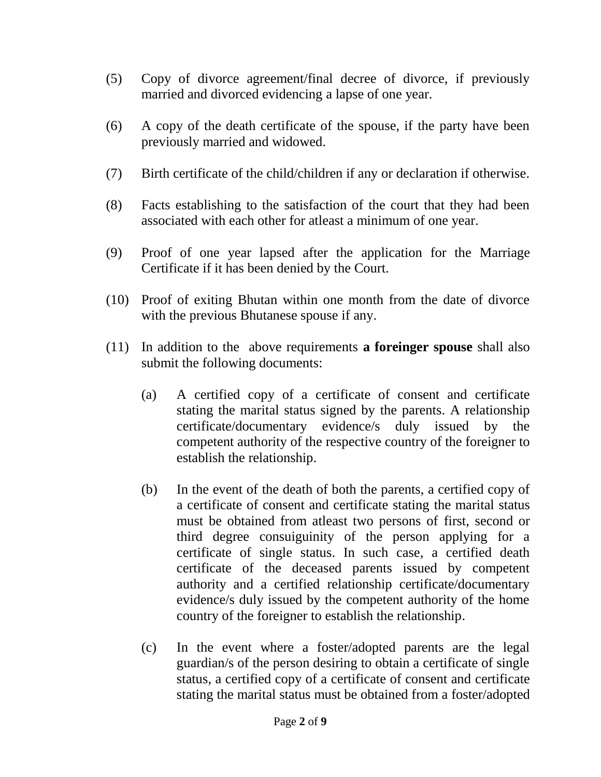- (5) Copy of divorce agreement/final decree of divorce, if previously married and divorced evidencing a lapse of one year.
- (6) A copy of the death certificate of the spouse, if the party have been previously married and widowed.
- (7) Birth certificate of the child/children if any or declaration if otherwise.
- (8) Facts establishing to the satisfaction of the court that they had been associated with each other for atleast a minimum of one year.
- (9) Proof of one year lapsed after the application for the Marriage Certificate if it has been denied by the Court.
- (10) Proof of exiting Bhutan within one month from the date of divorce with the previous Bhutanese spouse if any.
- (11) In addition to the above requirements **a foreinger spouse** shall also submit the following documents:
	- (a) A certified copy of a certificate of consent and certificate stating the marital status signed by the parents. A relationship certificate/documentary evidence/s duly issued by the competent authority of the respective country of the foreigner to establish the relationship.
	- (b) In the event of the death of both the parents, a certified copy of a certificate of consent and certificate stating the marital status must be obtained from atleast two persons of first, second or third degree consuiguinity of the person applying for a certificate of single status. In such case, a certified death certificate of the deceased parents issued by competent authority and a certified relationship certificate/documentary evidence/s duly issued by the competent authority of the home country of the foreigner to establish the relationship.
	- (c) In the event where a foster/adopted parents are the legal guardian/s of the person desiring to obtain a certificate of single status, a certified copy of a certificate of consent and certificate stating the marital status must be obtained from a foster/adopted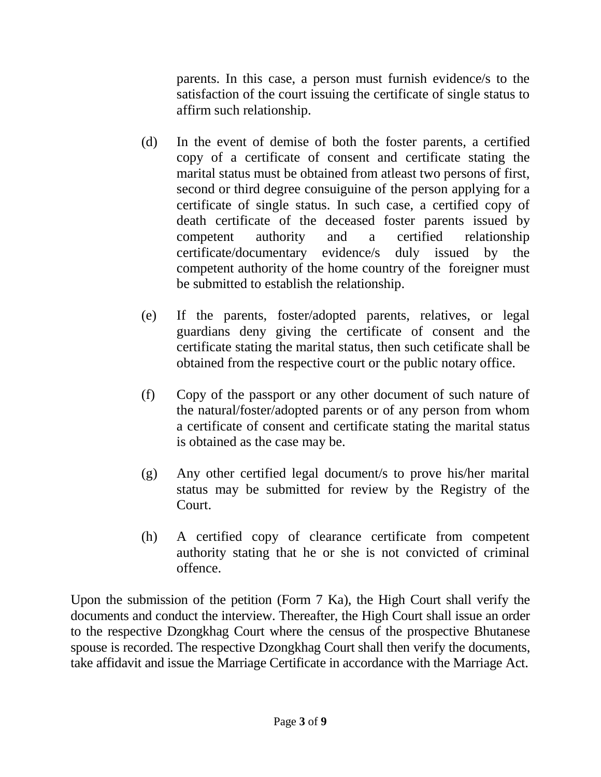parents. In this case, a person must furnish evidence/s to the satisfaction of the court issuing the certificate of single status to affirm such relationship.

- (d) In the event of demise of both the foster parents, a certified copy of a certificate of consent and certificate stating the marital status must be obtained from atleast two persons of first, second or third degree consuiguine of the person applying for a certificate of single status. In such case, a certified copy of death certificate of the deceased foster parents issued by competent authority and a certified relationship certificate/documentary evidence/s duly issued by the competent authority of the home country of the foreigner must be submitted to establish the relationship.
- (e) If the parents, foster/adopted parents, relatives, or legal guardians deny giving the certificate of consent and the certificate stating the marital status, then such cetificate shall be obtained from the respective court or the public notary office.
- (f) Copy of the passport or any other document of such nature of the natural/foster/adopted parents or of any person from whom a certificate of consent and certificate stating the marital status is obtained as the case may be.
- (g) Any other certified legal document/s to prove his/her marital status may be submitted for review by the Registry of the Court.
- (h) A certified copy of clearance certificate from competent authority stating that he or she is not convicted of criminal offence.

Upon the submission of the petition (Form 7 Ka), the High Court shall verify the documents and conduct the interview. Thereafter, the High Court shall issue an order to the respective Dzongkhag Court where the census of the prospective Bhutanese spouse is recorded. The respective Dzongkhag Court shall then verify the documents, take affidavit and issue the Marriage Certificate in accordance with the Marriage Act.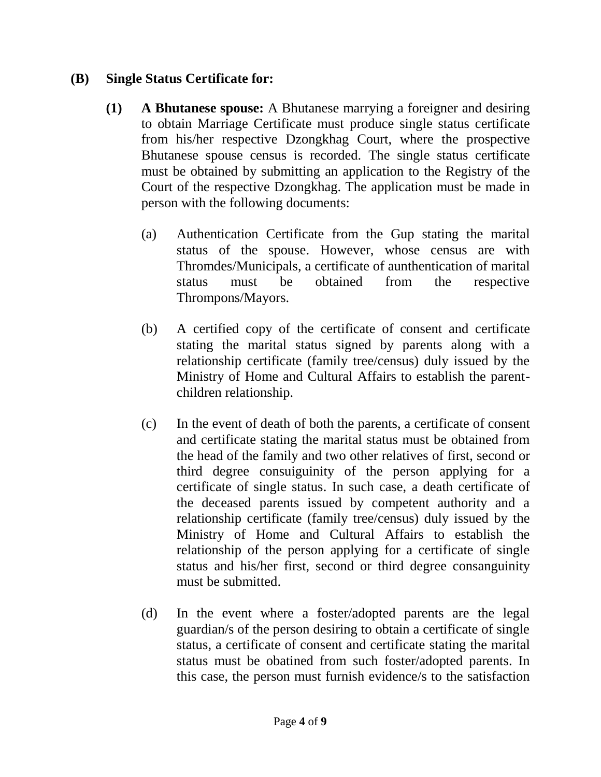### **(B) Single Status Certificate for:**

- **(1) A Bhutanese spouse:** A Bhutanese marrying a foreigner and desiring to obtain Marriage Certificate must produce single status certificate from his/her respective Dzongkhag Court, where the prospective Bhutanese spouse census is recorded. The single status certificate must be obtained by submitting an application to the Registry of the Court of the respective Dzongkhag. The application must be made in person with the following documents:
	- (a) Authentication Certificate from the Gup stating the marital status of the spouse. However, whose census are with Thromdes/Municipals, a certificate of aunthentication of marital status must be obtained from the respective Thrompons/Mayors.
	- (b) A certified copy of the certificate of consent and certificate stating the marital status signed by parents along with a relationship certificate (family tree/census) duly issued by the Ministry of Home and Cultural Affairs to establish the parentchildren relationship.
	- (c) In the event of death of both the parents, a certificate of consent and certificate stating the marital status must be obtained from the head of the family and two other relatives of first, second or third degree consuiguinity of the person applying for a certificate of single status. In such case, a death certificate of the deceased parents issued by competent authority and a relationship certificate (family tree/census) duly issued by the Ministry of Home and Cultural Affairs to establish the relationship of the person applying for a certificate of single status and his/her first, second or third degree consanguinity must be submitted.
	- (d) In the event where a foster/adopted parents are the legal guardian/s of the person desiring to obtain a certificate of single status, a certificate of consent and certificate stating the marital status must be obatined from such foster/adopted parents. In this case, the person must furnish evidence/s to the satisfaction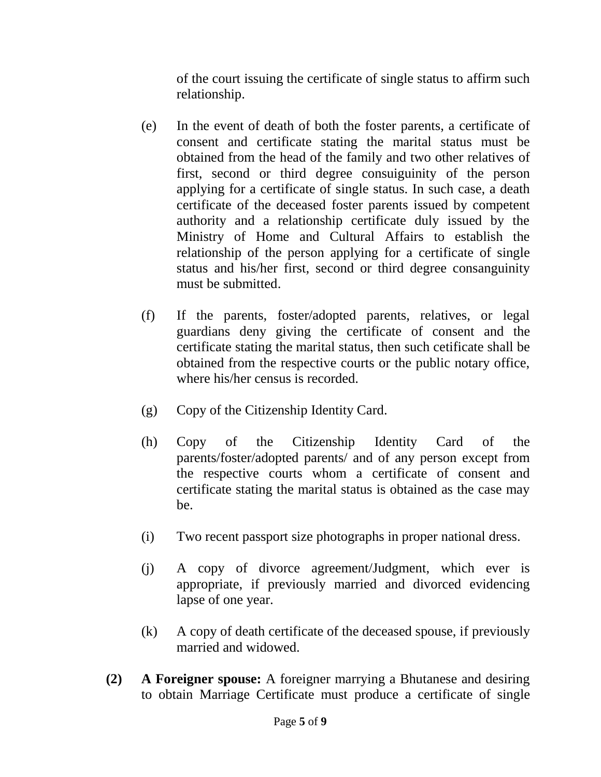of the court issuing the certificate of single status to affirm such relationship.

- (e) In the event of death of both the foster parents, a certificate of consent and certificate stating the marital status must be obtained from the head of the family and two other relatives of first, second or third degree consuiguinity of the person applying for a certificate of single status. In such case, a death certificate of the deceased foster parents issued by competent authority and a relationship certificate duly issued by the Ministry of Home and Cultural Affairs to establish the relationship of the person applying for a certificate of single status and his/her first, second or third degree consanguinity must be submitted.
- (f) If the parents, foster/adopted parents, relatives, or legal guardians deny giving the certificate of consent and the certificate stating the marital status, then such cetificate shall be obtained from the respective courts or the public notary office, where his/her census is recorded.
- (g) Copy of the Citizenship Identity Card.
- (h) Copy of the Citizenship Identity Card of the parents/foster/adopted parents/ and of any person except from the respective courts whom a certificate of consent and certificate stating the marital status is obtained as the case may be.
- (i) Two recent passport size photographs in proper national dress.
- (j) A copy of divorce agreement/Judgment, which ever is appropriate, if previously married and divorced evidencing lapse of one year.
- (k) A copy of death certificate of the deceased spouse, if previously married and widowed.
- **(2) A Foreigner spouse:** A foreigner marrying a Bhutanese and desiring to obtain Marriage Certificate must produce a certificate of single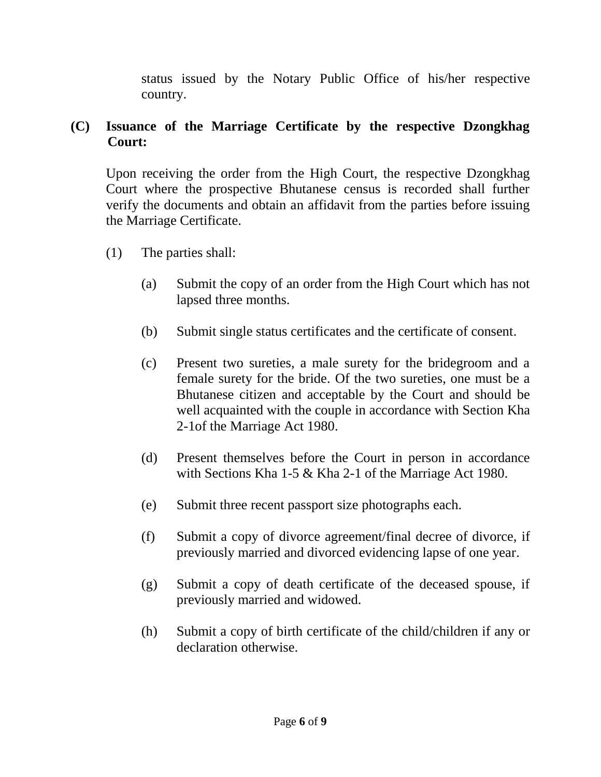status issued by the Notary Public Office of his/her respective country.

#### **(C) Issuance of the Marriage Certificate by the respective Dzongkhag Court:**

Upon receiving the order from the High Court, the respective Dzongkhag Court where the prospective Bhutanese census is recorded shall further verify the documents and obtain an affidavit from the parties before issuing the Marriage Certificate.

- (1) The parties shall:
	- (a) Submit the copy of an order from the High Court which has not lapsed three months.
	- (b) Submit single status certificates and the certificate of consent.
	- (c) Present two sureties, a male surety for the bridegroom and a female surety for the bride. Of the two sureties, one must be a Bhutanese citizen and acceptable by the Court and should be well acquainted with the couple in accordance with Section Kha 2-1of the Marriage Act 1980.
	- (d) Present themselves before the Court in person in accordance with Sections Kha 1-5 & Kha 2-1 of the Marriage Act 1980.
	- (e) Submit three recent passport size photographs each.
	- (f) Submit a copy of divorce agreement/final decree of divorce, if previously married and divorced evidencing lapse of one year.
	- (g) Submit a copy of death certificate of the deceased spouse, if previously married and widowed.
	- (h) Submit a copy of birth certificate of the child/children if any or declaration otherwise.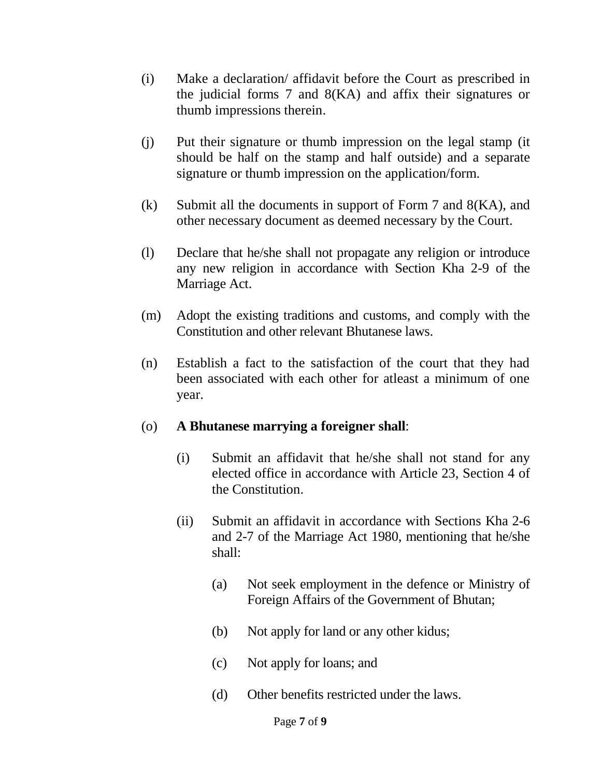- (i) Make a declaration/ affidavit before the Court as prescribed in the judicial forms 7 and 8(KA) and affix their signatures or thumb impressions therein.
- (j) Put their signature or thumb impression on the legal stamp (it should be half on the stamp and half outside) and a separate signature or thumb impression on the application/form.
- (k) Submit all the documents in support of Form 7 and  $8(KA)$ , and other necessary document as deemed necessary by the Court.
- (l) Declare that he/she shall not propagate any religion or introduce any new religion in accordance with Section Kha 2-9 of the Marriage Act.
- (m) Adopt the existing traditions and customs, and comply with the Constitution and other relevant Bhutanese laws.
- (n) Establish a fact to the satisfaction of the court that they had been associated with each other for atleast a minimum of one year.

#### (o) **A Bhutanese marrying a foreigner shall**:

- (i) Submit an affidavit that he/she shall not stand for any elected office in accordance with Article 23, Section 4 of the Constitution.
- (ii) Submit an affidavit in accordance with Sections Kha 2-6 and 2-7 of the Marriage Act 1980, mentioning that he/she shall:
	- (a) Not seek employment in the defence or Ministry of Foreign Affairs of the Government of Bhutan;
	- (b) Not apply for land or any other kidus;
	- (c) Not apply for loans; and
	- (d) Other benefits restricted under the laws.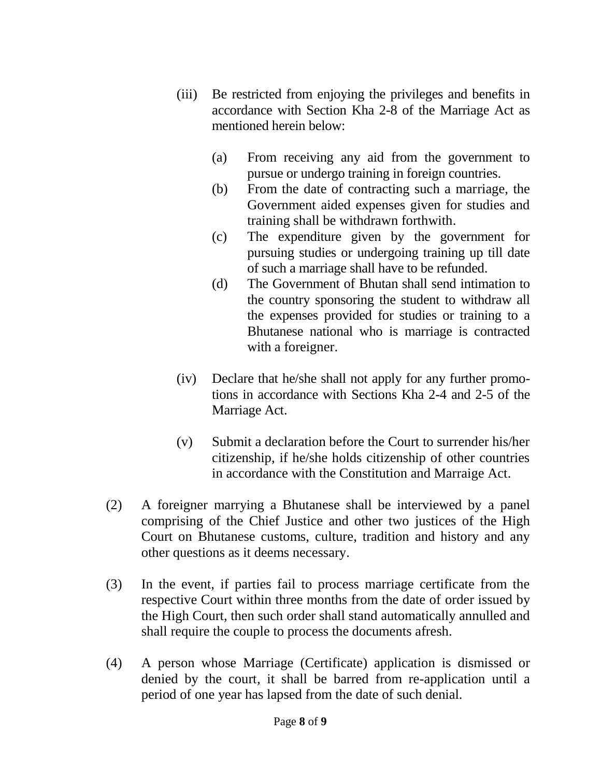- (iii) Be restricted from enjoying the privileges and benefits in accordance with Section Kha 2-8 of the Marriage Act as mentioned herein below:
	- (a) From receiving any aid from the government to pursue or undergo training in foreign countries.
	- (b) From the date of contracting such a marriage, the Government aided expenses given for studies and training shall be withdrawn forthwith.
	- (c) The expenditure given by the government for pursuing studies or undergoing training up till date of such a marriage shall have to be refunded.
	- (d) The Government of Bhutan shall send intimation to the country sponsoring the student to withdraw all the expenses provided for studies or training to a Bhutanese national who is marriage is contracted with a foreigner.
- (iv) Declare that he/she shall not apply for any further promotions in accordance with Sections Kha 2-4 and 2-5 of the Marriage Act.
- (v) Submit a declaration before the Court to surrender his/her citizenship, if he/she holds citizenship of other countries in accordance with the Constitution and Marraige Act.
- (2) A foreigner marrying a Bhutanese shall be interviewed by a panel comprising of the Chief Justice and other two justices of the High Court on Bhutanese customs, culture, tradition and history and any other questions as it deems necessary.
- (3) In the event, if parties fail to process marriage certificate from the respective Court within three months from the date of order issued by the High Court, then such order shall stand automatically annulled and shall require the couple to process the documents afresh.
- (4) A person whose Marriage (Certificate) application is dismissed or denied by the court, it shall be barred from re-application until a period of one year has lapsed from the date of such denial.